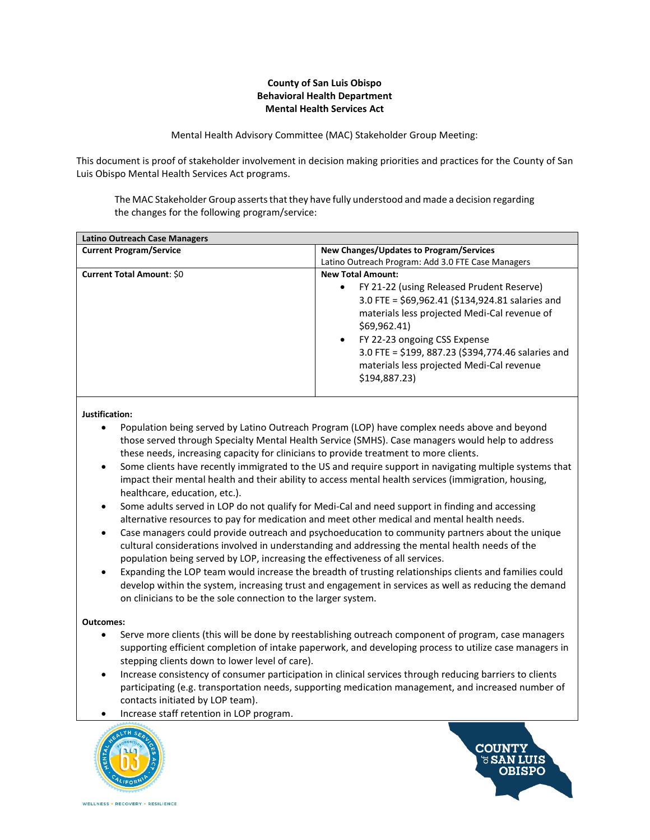## **County of San Luis Obispo Behavioral Health Department Mental Health Services Act**

Mental Health Advisory Committee (MAC) Stakeholder Group Meeting:

This document is proof of stakeholder involvement in decision making priorities and practices for the County of San Luis Obispo Mental Health Services Act programs.

The MAC Stakeholder Group asserts that they have fully understood and made a decision regarding the changes for the following program/service:

| <b>Latino Outreach Case Managers</b> |                                                                                                                                                                                                                                                                                                                                              |
|--------------------------------------|----------------------------------------------------------------------------------------------------------------------------------------------------------------------------------------------------------------------------------------------------------------------------------------------------------------------------------------------|
| <b>Current Program/Service</b>       | New Changes/Updates to Program/Services                                                                                                                                                                                                                                                                                                      |
|                                      | Latino Outreach Program: Add 3.0 FTE Case Managers                                                                                                                                                                                                                                                                                           |
| <b>Current Total Amount: \$0</b>     | <b>New Total Amount:</b>                                                                                                                                                                                                                                                                                                                     |
|                                      | FY 21-22 (using Released Prudent Reserve)<br>$\bullet$<br>3.0 FTE = \$69,962.41 (\$134,924.81 salaries and<br>materials less projected Medi-Cal revenue of<br>\$69,962.41\$<br>FY 22-23 ongoing CSS Expense<br>$\bullet$<br>3.0 FTE = \$199, 887.23 (\$394,774.46 salaries and<br>materials less projected Medi-Cal revenue<br>\$194,887.23) |

**Justification:**

- Population being served by Latino Outreach Program (LOP) have complex needs above and beyond those served through Specialty Mental Health Service (SMHS). Case managers would help to address these needs, increasing capacity for clinicians to provide treatment to more clients.
- Some clients have recently immigrated to the US and require support in navigating multiple systems that impact their mental health and their ability to access mental health services (immigration, housing, healthcare, education, etc.).
- Some adults served in LOP do not qualify for Medi-Cal and need support in finding and accessing alternative resources to pay for medication and meet other medical and mental health needs.
- Case managers could provide outreach and psychoeducation to community partners about the unique cultural considerations involved in understanding and addressing the mental health needs of the population being served by LOP, increasing the effectiveness of all services.
- Expanding the LOP team would increase the breadth of trusting relationships clients and families could develop within the system, increasing trust and engagement in services as well as reducing the demand on clinicians to be the sole connection to the larger system.

## **Outcomes:**

- Serve more clients (this will be done by reestablishing outreach component of program, case managers supporting efficient completion of intake paperwork, and developing process to utilize case managers in stepping clients down to lower level of care).
- Increase consistency of consumer participation in clinical services through reducing barriers to clients participating (e.g. transportation needs, supporting medication management, and increased number of contacts initiated by LOP team).
- Increase staff retention in LOP program.